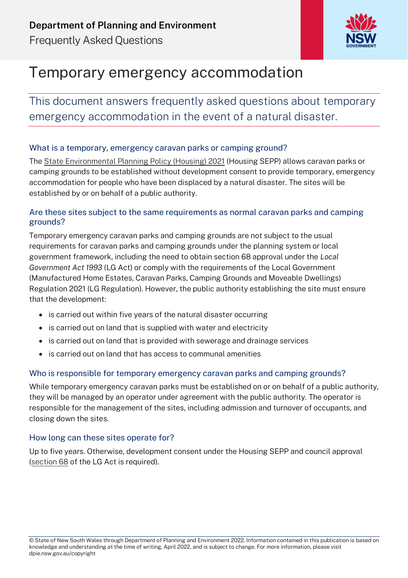

# Temporary emergency accommodation

This document answers frequently asked questions about temporary emergency accommodation in the event of a natural disaster.

### What is a temporary, emergency caravan parks or camping ground?

The [State Environmental Planning Policy \(Housing\) 2021](https://legislation.nsw.gov.au/view/html/inforce/current/epi-2021-0714) (Housing SEPP) allows caravan parks or camping grounds to be established without development consent to provide temporary, emergency accommodation for people who have been displaced by a natural disaster. The sites will be established by or on behalf of a public authority.

### Are these sites subject to the same requirements as normal caravan parks and camping grounds?

Temporary emergency caravan parks and camping grounds are not subject to the usual requirements for caravan parks and camping grounds under the planning system or local government framework, including the need to obtain section 68 approval under the *Local Government Act 1993* (LG Act) or comply with the requirements of the [Local Government](https://legislation.nsw.gov.au/view/html/inforce/current/sl-2021-0461)  [\(Manufactured Home Estates, Caravan Parks, Camping Grounds and Moveable Dwellings\)](https://legislation.nsw.gov.au/view/html/inforce/current/sl-2021-0461)  [Regulation 2021 \(](https://legislation.nsw.gov.au/view/html/inforce/current/sl-2021-0461)LG Regulation). However, the public authority establishing the site must ensure that the development:

- is carried out within five years of the natural disaster occurring
- is carried out on land that is supplied with water and electricity
- is carried out on land that is provided with sewerage and drainage services
- is carried out on land that has access to communal amenities

### Who is responsible for temporary emergency caravan parks and camping grounds?

While temporary emergency caravan parks must be established on or on behalf of a public authority, they will be managed by an operator under agreement with the public authority. The operator is responsible for the management of the sites, including admission and turnover of occupants, and closing down the sites.

### How long can these sites operate for?

Up to five years. Otherwise, development consent under the Housing SEPP and council approval [\(section 68](https://legislation.nsw.gov.au/view/html/inforce/current/act-1993-030#sec.68) of the LG Act is required).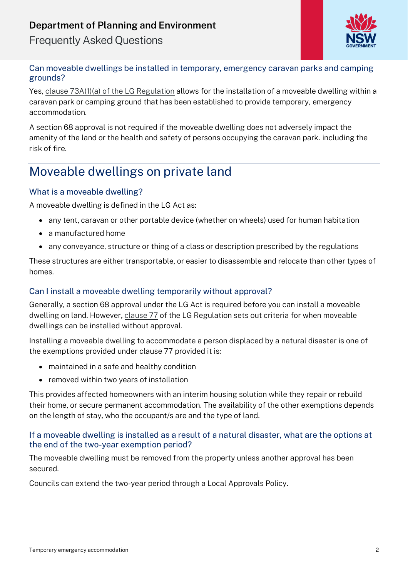### **Department of Planning and Environment**

Frequently Asked Questions



### Can moveable dwellings be installed in temporary, emergency caravan parks and camping grounds?

Yes, [clause 73A\(1\)\(a\) of the LG Regulation](https://legislation.nsw.gov.au/view/pdf/asmade/sl-2022-148) allows for the installation of a moveable dwelling within a caravan park or camping ground that has been established to provide temporary, emergency accommodation.

A section 68 approval is not required if the moveable dwelling does not adversely impact the amenity of the land or the health and safety of persons occupying the caravan park. including the risk of fire.

## Moveable dwellings on private land

### [What is a moveable dwelling?](https://www.planning.nsw.gov.au/Policy-and-Legislation/Housing/Housing-SEPP#collapse_47b5fd723b6c43ea93108d200912767b)

A moveable dwelling is defined in the LG Act as:

- any tent, caravan or other portable device (whether on wheels) used for human habitation
- a manufactured home
- any conveyance, structure or thing of a class or description prescribed by the regulations

These structures are either transportable, or easier to disassemble and relocate than other types of homes.

### [Can I install a moveable dwelling temporarily without approval?](https://www.planning.nsw.gov.au/Policy-and-Legislation/Housing/Housing-SEPP#collapse_47b5fd723b6c43ea93108d200912767b)

Generally, a section 68 approval under the LG Act is required before you can install a moveable dwelling on land. However, [clause 77](https://legislation.nsw.gov.au/view/whole/html/inforce/current/sl-2021-0461#sec.77) of the LG Regulation sets out criteria for when moveable dwellings can be installed without approval.

Installing a moveable dwelling to accommodate a person displaced by a natural disaster is one of the exemptions provided under clause 77 provided it is:

- maintained in a safe and healthy condition
- removed within two years of installation

This provides affected homeowners with an interim housing solution while they repair or rebuild their home, or secure permanent accommodation. The availability of the other exemptions depends on the length of stay, who the occupant/s are and the type of land.

### If a moveable dwelling is installed as a result of a natural disaster, [what are the options at](https://www.planning.nsw.gov.au/Policy-and-Legislation/Housing/Housing-SEPP#collapse_47b5fd723b6c43ea93108d200912767b)  [the end of the two-year exemption period?](https://www.planning.nsw.gov.au/Policy-and-Legislation/Housing/Housing-SEPP#collapse_47b5fd723b6c43ea93108d200912767b)

The moveable dwelling must be removed from the property unless another approval has been secured.

Councils can extend the two-year period through a Local Approvals Policy.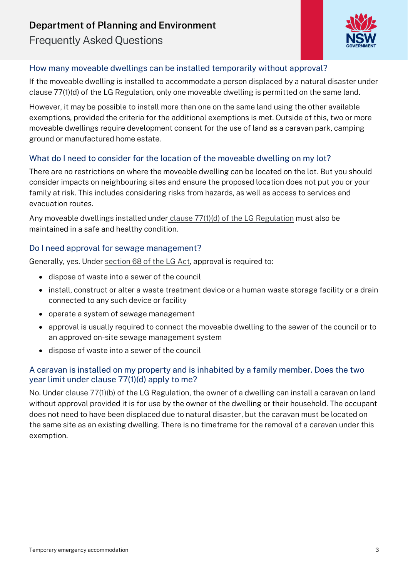### **Department of Planning and Environment**

Frequently Asked Questions



### How many moveable dwellings can be installed temporarily without approval?

If the moveable dwelling is installed to accommodate a person displaced by a natural disaster under clause 77(1)(d) of the LG Regulation, only one moveable dwelling is permitted on the same land.

However, it may be possible to install more than one on the same land using the other available exemptions, provided the criteria for the additional exemptions is met. Outside of this, two or more moveable dwellings require development consent for the use of land as a caravan park, camping ground or manufactured home estate.

### What do I need to consider for the location of the moveable dwelling on my lot?

There are no restrictions on where the moveable dwelling can be located on the lot. But you should consider impacts on neighbouring sites and ensure the proposed location does not put you or your family at risk. This includes considering risks from hazards, as well as access to services and evacuation routes.

Any moveable dwellings installed under [clause 77\(1\)\(d\) of the LG Regulation](https://legislation.nsw.gov.au/view/html/inforce/current/sl-2021-0461#sec.77) must also be maintained in a safe and healthy condition.

### Do I need approval for sewage management?

Generally, yes. Under [section 68 of the LG Act,](https://legislation.nsw.gov.au/view/html/inforce/current/act-1993-030#sec.68) approval is required to:

- dispose of waste into a sewer of the council
- install, construct or alter a waste treatment device or a human waste storage facility or a drain connected to any such device or facility
- operate a system of sewage management
- approval is usually required to connect the moveable dwelling to the sewer of the council or to an approved on-site sewage management system
- dispose of waste into a sewer of the council

### A caravan is installed on my property and is inhabited by a family member. Does the two year limit under clause 77(1)(d) apply to me?

No. Under [clause 77\(1\)\(b\)](https://legislation.nsw.gov.au/view/html/inforce/current/sl-2021-0461#sec.77) of the LG Regulation, the owner of a dwelling can install a caravan on land without approval provided it is for use by the owner of the dwelling or their household. The occupant does not need to have been displaced due to natural disaster, but the caravan must be located on the same site as an existing dwelling. There is no timeframe for the removal of a caravan under this exemption.